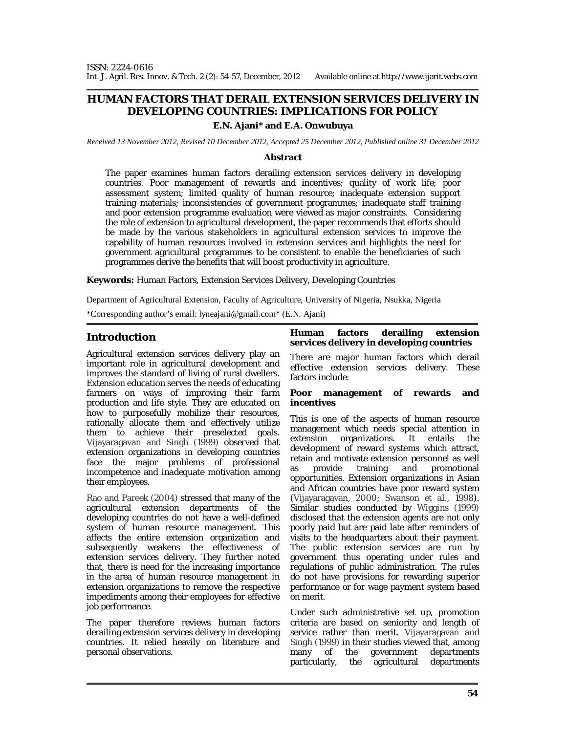# **HUMAN FACTORS THAT DERAIL EXTENSION SERVICES DELIVERY IN DEVELOPING COUNTRIES: IMPLICATIONS FOR POLICY**

## **E.N. Ajani\* and E.A. Onwubuya**

*Received 13 November 2012, Revised 10 December 2012, Accepted 25 December 2012, Published online 31 December 2012* 

#### **Abstract**

The paper examines human factors derailing extension services delivery in developing countries. Poor management of rewards and incentives; quality of work life; poor assessment system; limited quality of human resource; inadequate extension support training materials; inconsistencies of government programmes; inadequate staff training and poor extension programme evaluation were viewed as major constraints. Considering the role of extension to agricultural development, the paper recommends that efforts should be made by the various stakeholders in agricultural extension services to improve the capability of human resources involved in extension services and highlights the need for government agricultural programmes to be consistent to enable the beneficiaries of such programmes derive the benefits that will boost productivity in agriculture.

**Keywords:** Human Factors, Extension Services Delivery, Developing Countries

Department of Agricultural Extension, Faculty of Agriculture, University of Nigeria, Nsukka, Nigeria

\*Corresponding author's email: lyneajani@gmail.com\* (E.N. Ajani)

## **Introduction**

Agricultural extension services delivery play an important role in agricultural development and improves the standard of living of rural dwellers. Extension education serves the needs of educating farmers on ways of improving their farm production and life style. They are educated on how to purposefully mobilize their resources, rationally allocate them and effectively utilize them to achieve their preselected goals. Vijayaragavan and Singh (1999) observed that extension organizations in developing countries face the major problems of professional incompetence and inadequate motivation among their employees.

Rao and Pareek (2004) stressed that many of the agricultural extension departments of the developing countries do not have a well-defined system of human resource management. This affects the entire extension organization and subsequently weakens the effectiveness of extension services delivery. They further noted that, there is need for the increasing importance in the area of human resource management in extension organizations to remove the respective impediments among their employees for effective job performance.

The paper therefore reviews human factors derailing extension services delivery in developing countries. It relied heavily on literature and personal observations.

#### **Human factors derailing extension services delivery in developing countries**

There are major human factors which derail effective extension services delivery. These factors include:

#### **Poor management of rewards and incentives**

This is one of the aspects of human resource management which needs special attention in extension organizations. It entails the development of reward systems which attract, retain and motivate extension personnel as well as provide training and promotional opportunities. Extension organizations in Asian and African countries have poor reward system (Vijayaragavan, 2000; Swanson *et al.,* 1998). Similar studies conducted by Wiggins (1999) disclosed that the extension agents are not only poorly paid but are paid late after reminders of visits to the headquarters about their payment. The public extension services are run by government thus operating under rules and regulations of public administration. The rules do not have provisions for rewarding superior performance or for wage payment system based on merit.

Under such administrative set up, promotion criteria are based on seniority and length of service rather than merit. Vijayaragavan and Singh (1999) in their studies viewed that, among many of the government departments particularly, the agricultural departments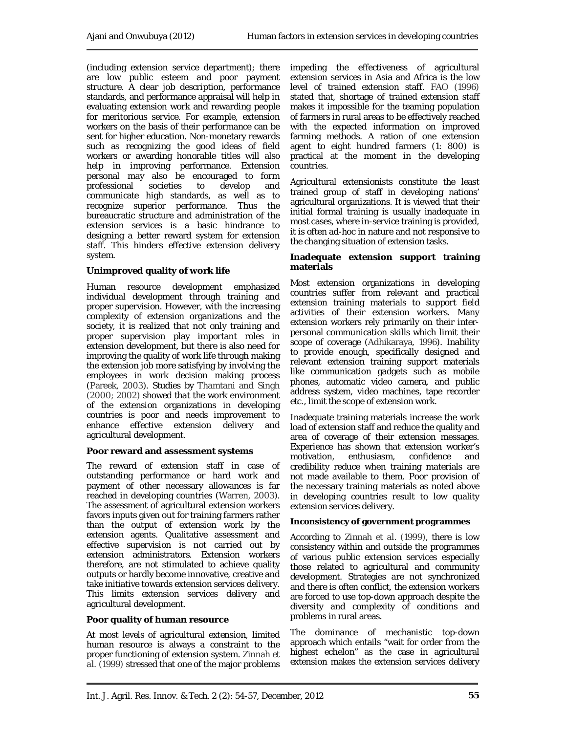(including extension service department); there are low public esteem and poor payment structure. A clear job description, performance standards, and performance appraisal will help in evaluating extension work and rewarding people for meritorious service. For example, extension workers on the basis of their performance can be sent for higher education. Non-monetary rewards such as recognizing the good ideas of field workers or awarding honorable titles will also help in improving performance. Extension personal may also be encouraged to form professional societies to develop and communicate high standards, as well as to recognize superior performance. Thus the bureaucratic structure and administration of the extension services is a basic hindrance to designing a better reward system for extension staff. This hinders effective extension delivery system.

### **Unimproved quality of work life**

Human resource development emphasized individual development through training and proper supervision. However, with the increasing complexity of extension organizations and the society, it is realized that not only training and proper supervision play important roles in extension development, but there is also need for improving the quality of work life through making the extension job more satisfying by involving the employees in work decision making process (Pareek, 2003). Studies by Thamtani and Singh (2000; 2002) showed that the work environment of the extension organizations in developing countries is poor and needs improvement to enhance effective extension delivery and agricultural development.

### **Poor reward and assessment systems**

The reward of extension staff in case of outstanding performance or hard work and payment of other necessary allowances is far reached in developing countries (Warren, 2003). The assessment of agricultural extension workers favors inputs given out for training farmers rather than the output of extension work by the extension agents. Qualitative assessment and effective supervision is not carried out by extension administrators. Extension workers therefore, are not stimulated to achieve quality outputs or hardly become innovative, creative and take initiative towards extension services delivery. This limits extension services delivery and agricultural development.

### **Poor quality of human resource**

At most levels of agricultural extension, limited human resource is always a constraint to the proper functioning of extension system. Zinnah *et al.* (1999) stressed that one of the major problems

impeding the effectiveness of agricultural extension services in Asia and Africa is the low level of trained extension staff. FAO (1996) stated that, shortage of trained extension staff makes it impossible for the teaming population of farmers in rural areas to be effectively reached with the expected information on improved farming methods. A ration of one extension agent to eight hundred farmers (1: 800) is practical at the moment in the developing countries.

Agricultural extensionists constitute the least trained group of staff in developing nations' agricultural organizations. It is viewed that their initial formal training is usually inadequate in most cases, where in-service training is provided, it is often ad-hoc in nature and not responsive to the changing situation of extension tasks.

#### **Inadequate extension support training materials**

Most extension organizations in developing countries suffer from relevant and practical extension training materials to support field activities of their extension workers. Many extension workers rely primarily on their interpersonal communication skills which limit their scope of coverage (Adhikaraya, 1996). Inability to provide enough, specifically designed and relevant extension training support materials like communication gadgets such as mobile phones, automatic video camera, and public address system, video machines, tape recorder etc., limit the scope of extension work.

Inadequate training materials increase the work load of extension staff and reduce the quality and area of coverage of their extension messages. Experience has shown that extension worker's<br>motivation, enthusiasm, confidence and enthusiasm, confidence and credibility reduce when training materials are not made available to them. Poor provision of the necessary training materials as noted above in developing countries result to low quality extension services delivery.

### **Inconsistency of government programmes**

According to Zinnah *et al*. (1999), there is low consistency within and outside the programmes of various public extension services especially those related to agricultural and community development. Strategies are not synchronized and there is often conflict, the extension workers are forced to use top-down approach despite the diversity and complexity of conditions and problems in rural areas.

The dominance of mechanistic top-down approach which entails "wait for order from the highest echelon" as the case in agricultural extension makes the extension services delivery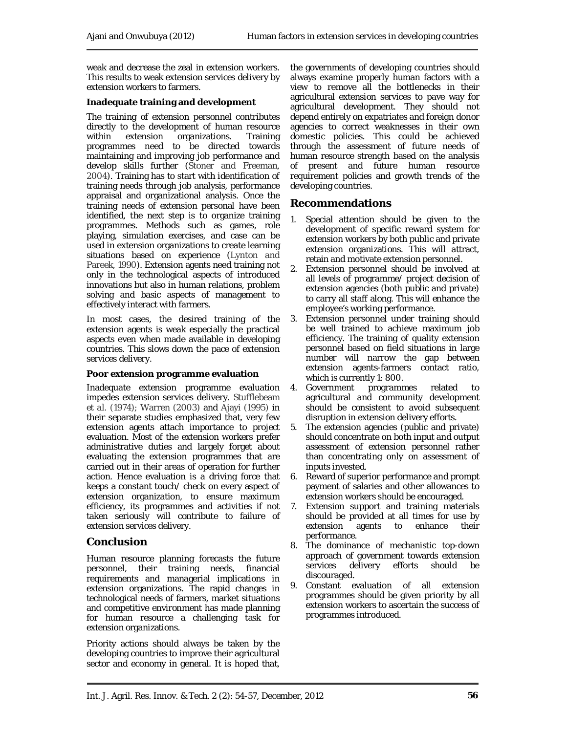weak and decrease the zeal in extension workers. This results to weak extension services delivery by extension workers to farmers.

## **Inadequate training and development**

The training of extension personnel contributes directly to the development of human resource within extension organizations. Training programmes need to be directed towards maintaining and improving job performance and develop skills further (Stoner and Freeman, 2004). Training has to start with identification of training needs through job analysis, performance appraisal and organizational analysis. Once the training needs of extension personal have been identified, the next step is to organize training programmes. Methods such as games, role playing, simulation exercises, and case can be used in extension organizations to create learning situations based on experience (Lynton and Pareek, 1990). Extension agents need training not only in the technological aspects of introduced innovations but also in human relations, problem solving and basic aspects of management to effectively interact with farmers.

In most cases, the desired training of the extension agents is weak especially the practical aspects even when made available in developing countries. This slows down the pace of extension services delivery.

### **Poor extension programme evaluation**

Inadequate extension programme evaluation impedes extension services delivery. Stufflebeam *et al.* (1974); Warren (2003) and Ajayi (1995) in their separate studies emphasized that, very few extension agents attach importance to project evaluation. Most of the extension workers prefer administrative duties and largely forget about evaluating the extension programmes that are carried out in their areas of operation for further action. Hence evaluation is a driving force that keeps a constant touch/ check on every aspect of extension organization, to ensure maximum efficiency, its programmes and activities if not taken seriously will contribute to failure of extension services delivery.

# **Conclusion**

Human resource planning forecasts the future personnel, their training needs, financial requirements and managerial implications in extension organizations. The rapid changes in technological needs of farmers, market situations and competitive environment has made planning for human resource a challenging task for extension organizations.

Priority actions should always be taken by the developing countries to improve their agricultural sector and economy in general. It is hoped that,

the governments of developing countries should always examine properly human factors with a view to remove all the bottlenecks in their agricultural extension services to pave way for agricultural development. They should not depend entirely on expatriates and foreign donor agencies to correct weaknesses in their own domestic policies. This could be achieved through the assessment of future needs of human resource strength based on the analysis of present and future human resource requirement policies and growth trends of the developing countries.

## **Recommendations**

- 1. Special attention should be given to the development of specific reward system for extension workers by both public and private extension organizations. This will attract, retain and motivate extension personnel.
- 2. Extension personnel should be involved at all levels of programme/ project decision of extension agencies (both public and private) to carry all staff along. This will enhance the employee's working performance.
- 3. Extension personnel under training should be well trained to achieve maximum job efficiency. The training of quality extension personnel based on field situations in large number will narrow the gap between extension agents-farmers contact ratio,
- which is currently 1: 800.<br>Government programmes 4. Government programmes related to agricultural and community development should be consistent to avoid subsequent disruption in extension delivery efforts.
- 5. The extension agencies (public and private) should concentrate on both input and output assessment of extension personnel rather than concentrating only on assessment of inputs invested.
- 6. Reward of superior performance and prompt payment of salaries and other allowances to extension workers should be encouraged.
- 7. Extension support and training materials should be provided at all times for use by extension agents to enhance their performance.
- 8. The dominance of mechanistic top-down approach of government towards extension services delivery efforts should be discouraged.
- 9. Constant evaluation of all extension programmes should be given priority by all extension workers to ascertain the success of programmes introduced.